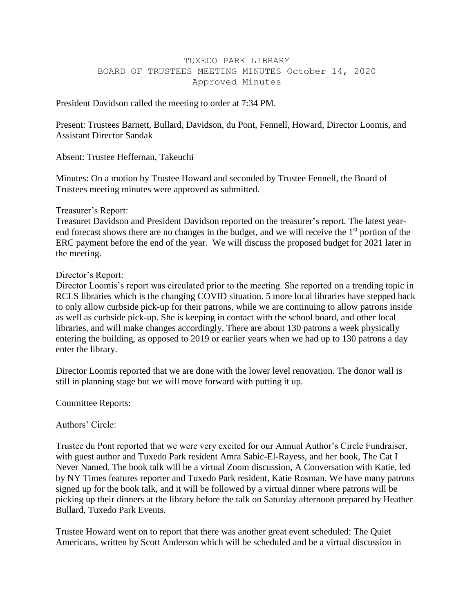## TUXEDO PARK LIBRARY BOARD OF TRUSTEES MEETING MINUTES October 14, 2020 Approved Minutes

President Davidson called the meeting to order at 7:34 PM.

Present: Trustees Barnett, Bullard, Davidson, du Pont, Fennell, Howard, Director Loomis, and Assistant Director Sandak

Absent: Trustee Heffernan, Takeuchi

Minutes: On a motion by Trustee Howard and seconded by Trustee Fennell, the Board of Trustees meeting minutes were approved as submitted.

### Treasurer's Report:

Treasuret Davidson and President Davidson reported on the treasurer's report. The latest yearend forecast shows there are no changes in the budget, and we will receive the 1<sup>st</sup> portion of the ERC payment before the end of the year. We will discuss the proposed budget for 2021 later in the meeting.

### Director's Report:

Director Loomis's report was circulated prior to the meeting. She reported on a trending topic in RCLS libraries which is the changing COVID situation. 5 more local libraries have stepped back to only allow curbside pick-up for their patrons, while we are continuing to allow patrons inside as well as curbside pick-up. She is keeping in contact with the school board, and other local libraries, and will make changes accordingly. There are about 130 patrons a week physically entering the building, as opposed to 2019 or earlier years when we had up to 130 patrons a day enter the library.

Director Loomis reported that we are done with the lower level renovation. The donor wall is still in planning stage but we will move forward with putting it up.

Committee Reports:

# Authors' Circle:

Trustee du Pont reported that we were very excited for our Annual Author's Circle Fundraiser, with guest author and Tuxedo Park resident Amra Sabic-El-Rayess, and her book, The Cat I Never Named. The book talk will be a virtual Zoom discussion, A Conversation with Katie, led by NY Times features reporter and Tuxedo Park resident, Katie Rosman. We have many patrons signed up for the book talk, and it will be followed by a virtual dinner where patrons will be picking up their dinners at the library before the talk on Saturday afternoon prepared by Heather Bullard, Tuxedo Park Events.

Trustee Howard went on to report that there was another great event scheduled: The Quiet Americans, written by Scott Anderson which will be scheduled and be a virtual discussion in